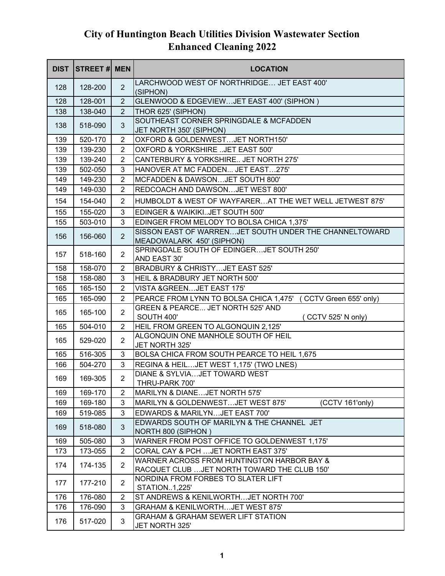| <b>DIST</b> | <b>STREET# MEN</b> |                | <b>LOCATION</b>                                                                     |
|-------------|--------------------|----------------|-------------------------------------------------------------------------------------|
| 128         | 128-200            | $\overline{2}$ | LARCHWOOD WEST OF NORTHRIDGE JET EAST 400'<br>(SIPHON)                              |
| 128         | 128-001            | $\overline{2}$ | GLENWOOD & EDGEVIEWJET EAST 400' (SIPHON)                                           |
| 138         | 138-040            | 2              | THOR 625' (SIPHON)                                                                  |
| 138         | 518-090            | $\overline{3}$ | SOUTHEAST CORNER SPRINGDALE & MCFADDEN<br>JET NORTH 350' (SIPHON)                   |
| 139         | 520-170            | $\overline{2}$ | OXFORD & GOLDENWESTJET NORTH150'                                                    |
| 139         | 139-230            | $\overline{2}$ | OXFORD & YORKSHIRE JET EAST 500'                                                    |
| 139         | 139-240            | $\overline{2}$ | CANTERBURY & YORKSHIRE JET NORTH 275'                                               |
| 139         | 502-050            | 3              | HANOVER AT MC FADDEN JET EAST275'                                                   |
| 149         | 149-230            | $\overline{2}$ | MCFADDEN & DAWSONJET SOUTH 800'                                                     |
| 149         | 149-030            | $\overline{2}$ | REDCOACH AND DAWSONJET WEST 800'                                                    |
| 154         | 154-040            | $\overline{2}$ | HUMBOLDT & WEST OF WAYFARERAT THE WET WELL JETWEST 875'                             |
| 155         | 155-020            | 3              | EDINGER & WAIKIKIJET SOUTH 500'                                                     |
| 155         | 503-010            | 3              | EDINGER FROM MELODY TO BOLSA CHICA 1,375'                                           |
| 156         | 156-060            | $\overline{2}$ | SISSON EAST OF WARRENJET SOUTH UNDER THE CHANNELTOWARD<br>MEADOWALARK 450' (SIPHON) |
| 157         | 518-160            | $\overline{2}$ | SPRINGDALE SOUTH OF EDINGERJET SOUTH 250'<br>AND EAST 30'                           |
| 158         | 158-070            | $\overline{2}$ | BRADBURY & CHRISTYJET EAST 525'                                                     |
| 158         | 158-080            | 3              | HEIL & BRADBURY JET NORTH 500'                                                      |
| 165         | 165-150            | $\overline{2}$ | VISTA & GREEN JET EAST 175'                                                         |
| 165         | 165-090            | $\overline{2}$ | PEARCE FROM LYNN TO BOLSA CHICA 1,475' (CCTV Green 655' only)                       |
| 165         | 165-100            | $\overline{2}$ | GREEN & PEARCE JET NORTH 525' AND<br>SOUTH 400'<br>(CCTV 525' N only)               |
| 165         | 504-010            | $\overline{2}$ | HEIL FROM GREEN TO ALGONQUIN 2,125'                                                 |
| 165         | 529-020            | $\overline{2}$ | ALGONQUIN ONE MANHOLE SOUTH OF HEIL<br>JET NORTH 325'                               |
| 165         | 516-305            | 3              | BOLSA CHICA FROM SOUTH PEARCE TO HEIL 1,675                                         |
| 166         | 504-270            | 3              | REGINA & HEILJET WEST 1,175' (TWO LNES)                                             |
|             |                    |                | <b>DIANE &amp; SYLVIAJET TOWARD WEST</b>                                            |
| 169         | 169-305            | $\overline{2}$ | THRU-PARK 700'                                                                      |
| 169         | 169-170            | 2              | MARILYN & DIANEJET NORTH 575'                                                       |
| 169         | 169-180            | 3              | MARILYN & GOLDENWESTJET WEST 875'<br>(CCTV 161'only)                                |
| 169         | 519-085            | 3              | EDWARDS & MARILYNJET EAST 700'                                                      |
| 169         | 518-080            | $\mathfrak{B}$ | EDWARDS SOUTH OF MARILYN & THE CHANNEL JET<br>NORTH 800 (SIPHON)                    |
| 169         | 505-080            | 3              | WARNER FROM POST OFFICE TO GOLDENWEST 1,175'                                        |
| 173         | 173-055            | $\overline{2}$ | CORAL CAY & PCH  JET NORTH EAST 375'                                                |
| 174         | 174-135            | $\overline{2}$ | WARNER ACROSS FROM HUNTINGTON HARBOR BAY &                                          |
|             |                    |                | RACQUET CLUB  JET NORTH TOWARD THE CLUB 150'                                        |
| 177         | 177-210            | $\overline{2}$ | NORDINA FROM FORBES TO SLATER LIFT<br><b>STATION1,225'</b>                          |
| 176         | 176-080            | $\overline{2}$ | ST ANDREWS & KENILWORTHJET NORTH 700'                                               |
| 176         | 176-090            | 3              | GRAHAM & KENILWORTHJET WEST 875'                                                    |
| 176         | 517-020            | 3              | <b>GRAHAM &amp; GRAHAM SEWER LIFT STATION</b><br>JET NORTH 325'                     |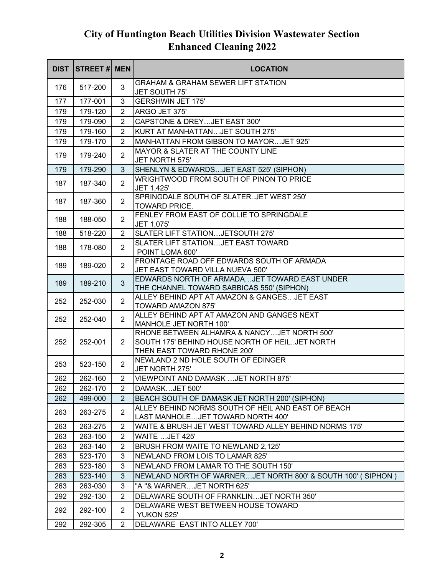| <b>DIST</b> | <b>STREET# MEN</b> |                | <b>LOCATION</b>                                                                                                              |
|-------------|--------------------|----------------|------------------------------------------------------------------------------------------------------------------------------|
| 176         | 517-200            | 3              | <b>GRAHAM &amp; GRAHAM SEWER LIFT STATION</b><br>JET SOUTH 75'                                                               |
| 177         | 177-001            | 3              | <b>GERSHWIN JET 175'</b>                                                                                                     |
| 179         | 179-120            | $\overline{2}$ | ARGO JET 375'                                                                                                                |
| 179         | 179-090            | $\overline{2}$ | CAPSTONE & DREYJET EAST 300'                                                                                                 |
| 179         | 179-160            | $\overline{2}$ | KURT AT MANHATTANJET SOUTH 275'                                                                                              |
| 179         | 179-170            | $\overline{2}$ | MANHATTAN FROM GIBSON TO MAYORJET 925'                                                                                       |
| 179         | 179-240            | $\overline{2}$ | MAYOR & SLATER AT THE COUNTY LINE<br>JET NORTH 575'                                                                          |
| 179         | 179-290            | 3              | SHENLYN & EDWARDSJET EAST 525' (SIPHON)                                                                                      |
| 187         | 187-340            | $\overline{2}$ | WRIGHTWOOD FROM SOUTH OF PINON TO PRICE<br>JET 1,425'                                                                        |
| 187         | 187-360            | $\overline{2}$ | SPRINGDALE SOUTH OF SLATERJET WEST 250'<br><b>TOWARD PRICE.</b>                                                              |
| 188         | 188-050            | $\overline{2}$ | FENLEY FROM EAST OF COLLIE TO SPRINGDALE<br>JET 1,075'                                                                       |
| 188         | 518-220            | $\overline{2}$ | SLATER LIFT STATIONJETSOUTH 275'                                                                                             |
| 188         | 178-080            | $\overline{2}$ | SLATER LIFT STATIONJET EAST TOWARD<br>POINT LOMA 600'                                                                        |
| 189         | 189-020            | $\overline{2}$ | FRONTAGE ROAD OFF EDWARDS SOUTH OF ARMADA<br>JET EAST TOWARD VILLA NUEVA 500'                                                |
| 189         | 189-210            | $\overline{3}$ | EDWARDS NORTH OF ARMADAJET TOWARD EAST UNDER<br>THE CHANNEL TOWARD SABBICAS 550' (SIPHON)                                    |
| 252         | 252-030            | $\overline{2}$ | ALLEY BEHIND APT AT AMAZON & GANGESJET EAST<br><b>TOWARD AMAZON 875'</b>                                                     |
| 252         | 252-040            | $\overline{2}$ | ALLEY BEHIND APT AT AMAZON AND GANGES NEXT<br>MANHOLE JET NORTH 100'                                                         |
| 252         | 252-001            | $\overline{2}$ | RHONE BETWEEN ALHAMRA & NANCYJET NORTH 500'<br>SOUTH 175' BEHIND HOUSE NORTH OF HEILJET NORTH<br>THEN EAST TOWARD RHONE 200' |
| 253         | 523-150            | $\overline{2}$ | NEWLAND 2 ND HOLE SOUTH OF EDINGER<br>JET NORTH 275'                                                                         |
| 262         | 262-160            | $\overline{2}$ | VIEWPOINT AND DAMASK  JET NORTH 875'                                                                                         |
| 262         | 262-170            | $\overline{2}$ | DAMASKJET 500'                                                                                                               |
| 262         | 499-000            | $\overline{2}$ | BEACH SOUTH OF DAMASK JET NORTH 200' (SIPHON)                                                                                |
| 263         | 263-275            | $\overline{2}$ | ALLEY BEHIND NORMS SOUTH OF HEIL AND EAST OF BEACH<br>LAST MANHOLEJET TOWARD NORTH 400'                                      |
| 263         | 263-275            | $\overline{2}$ | WAITE & BRUSH JET WEST TOWARD ALLEY BEHIND NORMS 175'                                                                        |
| 263         | 263-150            | $\overline{2}$ | WAITE JET 425'                                                                                                               |
| 263         | 263-140            | $\overline{2}$ | BRUSH FROM WAITE TO NEWLAND 2,125'                                                                                           |
| 263         | 523-170            | 3              | NEWLAND FROM LOIS TO LAMAR 825'                                                                                              |
| 263         | 523-180            | 3              | NEWLAND FROM LAMAR TO THE SOUTH 150'                                                                                         |
| 263         | 523-140            | 3              | NEWLAND NORTH OF WARNERJET NORTH 800' & SOUTH 100' (SIPHON)                                                                  |
| 263         | 263-030            | 3              | "A "& WARNERJET NORTH 625'                                                                                                   |
| 292         | 292-130            | $\overline{2}$ | DELAWARE SOUTH OF FRANKLINJET NORTH 350'                                                                                     |
| 292         | 292-100            | $\overline{2}$ | DELAWARE WEST BETWEEN HOUSE TOWARD<br>YUKON 525'                                                                             |
| 292         | 292-305            | $\overline{2}$ | DELAWARE EAST INTO ALLEY 700'                                                                                                |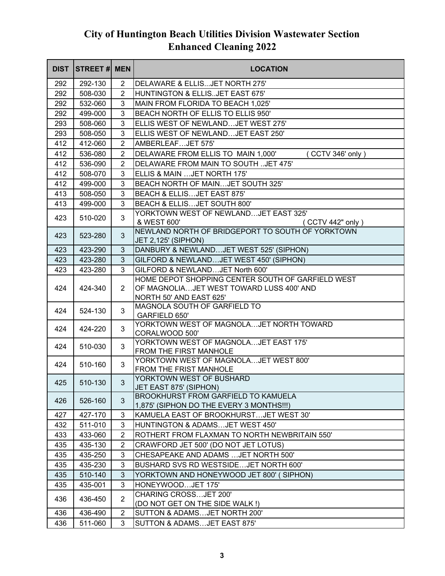| <b>DIST</b> | STREET# MEN |                | <b>LOCATION</b>                                                                        |                                |
|-------------|-------------|----------------|----------------------------------------------------------------------------------------|--------------------------------|
| 292         | 292-130     | $\overline{2}$ | DELAWARE & ELLISJET NORTH 275'                                                         |                                |
| 292         | 508-030     | $\overline{2}$ | HUNTINGTON & ELLISJET EAST 675'                                                        |                                |
| 292         | 532-060     | 3              | MAIN FROM FLORIDA TO BEACH 1,025'                                                      |                                |
| 292         | 499-000     | 3              | BEACH NORTH OF ELLIS TO ELLIS 950'                                                     |                                |
| 293         | 508-060     | 3              | ELLIS WEST OF NEWLANDJET WEST 275'                                                     |                                |
| 293         | 508-050     | 3              | ELLIS WEST OF NEWLANDJET EAST 250'                                                     |                                |
| 412         | 412-060     | $\overline{2}$ | AMBERLEAFJET 575'                                                                      |                                |
| 412         | 536-080     | $\overline{2}$ | DELAWARE FROM ELLIS TO MAIN 1,000'<br>(CCTV 346' only)                                 |                                |
| 412         | 536-090     | $\overline{2}$ | DELAWARE FROM MAIN TO SOUTH JET 475'                                                   |                                |
| 412         | 508-070     | 3              | ELLIS & MAIN  JET NORTH 175'                                                           |                                |
| 412         | 499-000     | 3              | BEACH NORTH OF MAINJET SOUTH 325'                                                      |                                |
| 413         | 508-050     | 3              | BEACH & ELLISJET EAST 875'                                                             |                                |
| 413         | 499-000     | 3              | BEACH & ELLIS JET SOUTH 800'                                                           |                                |
|             |             |                | YORKTOWN WEST OF NEWLANDJET EAST 325'                                                  |                                |
| 423         | 510-020     | 3              | & WEST 600'<br>(CCTV 442" only)                                                        |                                |
| 423         | 523-280     | 3              | NEWLAND NORTH OF BRIDGEPORT TO SOUTH OF YORKTOWN                                       |                                |
|             |             |                | <b>JET 2,125' (SIPHON)</b>                                                             |                                |
| 423         | 423-290     | 3              | DANBURY & NEWLANDJET WEST 525' (SIPHON)                                                |                                |
| 423         | 423-280     | 3              | GILFORD & NEWLANDJET WEST 450' (SIPHON)                                                |                                |
| 423         | 423-280     | 3              | GILFORD & NEWLANDJET North 600'                                                        |                                |
|             |             |                | HOME DEPOT SHOPPING CENTER SOUTH OF GARFIELD WEST                                      |                                |
| 424         | 424-340     | $\overline{2}$ | OF MAGNOLIAJET WEST TOWARD LUSS 400' AND                                               |                                |
|             |             |                | NORTH 50' AND EAST 625'<br>MAGNOLA SOUTH OF GARFIELD TO                                |                                |
| 424         | 524-130     | 3              | GARFIELD 650'                                                                          |                                |
|             |             |                | YORKTOWN WEST OF MAGNOLAJET NORTH TOWARD                                               |                                |
| 424         | 424-220     | 3              | CORALWOOD 500'                                                                         |                                |
|             |             |                | YORKTOWN WEST OF MAGNOLAJET EAST 175'                                                  |                                |
| 424         | 510-030     | 3              | FROM THE FIRST MANHOLE                                                                 |                                |
| 424         | 510-160     | 3              | YORKTOWN WEST OF MAGNOLAJET WEST 800'                                                  |                                |
|             |             |                | FROM THE FRIST MANHOLE                                                                 |                                |
| 425         | 510-130     | 3              | YORKTOWN WEST OF BUSHARD                                                               |                                |
|             |             |                | JET EAST 875' (SIPHON)                                                                 |                                |
| 426         | 526-160     | 3              | <b>BROOKHURST FROM GARFIELD TO KAMUELA</b><br>1,875' (SIPHON DO THE EVERY 3 MONTHS!!!) |                                |
| 427         | 427-170     | 3              | KAMUELA EAST OF BROOKHURSTJET WEST 30'                                                 |                                |
| 432         | 511-010     | 3              | HUNTINGTON & ADAMSJET WEST 450'                                                        |                                |
| 433         | 433-060     | $\overline{c}$ | ROTHERT FROM FLAXMAN TO NORTH NEWBRITAIN 550'                                          |                                |
| 435         | 435-130     | $\overline{c}$ | CRAWFORD JET 500' (DO NOT JET LOTUS)                                                   |                                |
| 435         | 435-250     | 3              | CHESAPEAKE AND ADAMS  JET NORTH 500'                                                   |                                |
| 435         | 435-230     | 3              | BUSHARD SVS RD WESTSIDEJET NORTH 600'                                                  |                                |
| 435         | 510-140     | 3              | YORKTOWN AND HONEYWOOD JET 800' (SIPHON)                                               |                                |
| 435         | 435-001     | 3              | HONEYWOODJET 175'                                                                      |                                |
|             |             |                | CHARING CROSSJET 200'                                                                  |                                |
| 436         | 436-450     |                | $\overline{2}$                                                                         | (DO NOT GET ON THE SIDE WALK!) |
| 436         | 436-490     | $\overline{2}$ | SUTTON & ADAMSJET NORTH 200'                                                           |                                |
| 436         | 511-060     | 3              | SUTTON & ADAMSJET EAST 875'                                                            |                                |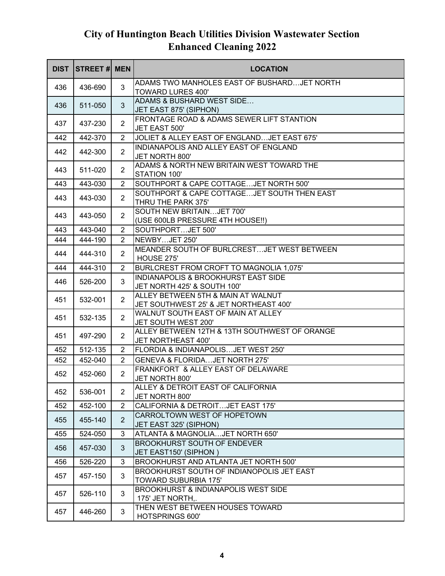| <b>DIST</b> | <b>STREET# MEN</b> |                | <b>LOCATION</b>                                                               |
|-------------|--------------------|----------------|-------------------------------------------------------------------------------|
| 436         | 436-690            | 3              | ADAMS TWO MANHOLES EAST OF BUSHARDJET NORTH<br><b>TOWARD LURES 400'</b>       |
| 436         | 511-050            | 3              | ADAMS & BUSHARD WEST SIDE<br>JET EAST 875' (SIPHON)                           |
| 437         | 437-230            | $\overline{2}$ | <b>FRONTAGE ROAD &amp; ADAMS SEWER LIFT STANTION</b><br>JET EAST 500'         |
| 442         | 442-370            | $\overline{2}$ | JOLIET & ALLEY EAST OF ENGLANDJET EAST 675'                                   |
| 442         | 442-300            | $\overline{2}$ | INDIANAPOLIS AND ALLEY EAST OF ENGLAND<br>JET NORTH 800'                      |
| 443         | 511-020            | $\overline{2}$ | ADAMS & NORTH NEW BRITAIN WEST TOWARD THE<br>STATION 100'                     |
| 443         | 443-030            | $\overline{2}$ | SOUTHPORT & CAPE COTTAGE JET NORTH 500'                                       |
| 443         | 443-030            | $\overline{2}$ | SOUTHPORT & CAPE COTTAGE JET SOUTH THEN EAST<br>THRU THE PARK 375'            |
| 443         | 443-050            | $\overline{2}$ | SOUTH NEW BRITAINJET 700'<br>(USE 600LB PRESSURE 4TH HOUSE !! )               |
| 443         | 443-040            | $\overline{2}$ | SOUTHPORTJET 500'                                                             |
| 444         | 444-190            | $\overline{2}$ | NEWBYJET 250'                                                                 |
| 444         | 444-310            | $\overline{2}$ | MEANDER SOUTH OF BURLCRESTJET WEST BETWEEN<br>HOUSE 275'                      |
| 444         | 444-310            | $\overline{2}$ | BURLCREST FROM CROFT TO MAGNOLIA 1,075'                                       |
| 446         | 526-200            | 3              | <b>INDIANAPOLIS &amp; BROOKHURST EAST SIDE</b><br>JET NORTH 425' & SOUTH 100' |
| 451         | 532-001            | $\overline{2}$ | ALLEY BETWEEN 5TH & MAIN AT WALNUT<br>JET SOUTHWEST 25' & JET NORTHEAST 400'  |
| 451         | 532-135            | $\overline{2}$ | WALNUT SOUTH EAST OF MAIN AT ALLEY<br>JET SOUTH WEST 200'                     |
| 451         | 497-290            | $\overline{2}$ | ALLEY BETWEEN 12TH & 13TH SOUTHWEST OF ORANGE<br>JET NORTHEAST 400'           |
| 452         | 512-135            | $\overline{2}$ | FLORDIA & INDIANAPOLISJET WEST 250'                                           |
| 452         | 452-040            | $\overline{2}$ | GENEVA & FLORIDAJET NORTH 275'                                                |
| 452         | 452-060            | $\overline{2}$ | FRANKFORT & ALLEY EAST OF DELAWARE<br>JET NORTH 800'                          |
| 452         | 536-001            | $\overline{2}$ | ALLEY & DETROIT EAST OF CALIFORNIA<br>JET NORTH 800'                          |
| 452         | 452-100            | $\overline{2}$ | CALIFORNIA & DETROITJET EAST 175'                                             |
| 455         | 455-140            | $\overline{2}$ | CARROLTOWN WEST OF HOPETOWN<br>JET EAST 325' (SIPHON)                         |
| 455         | 524-050            | 3              | ATLANTA & MAGNOLIAJET NORTH 650'                                              |
| 456         | 457-030            | 3              | <b>BROOKHURST SOUTH OF ENDEVER</b><br>JET EAST150' (SIPHON)                   |
| 456         | 526-220            | 3              | BROOKHURST AND ATLANTA JET NORTH 500'                                         |
| 457         | 457-150            | 3              | BROOKHURST SOUTH OF INDIANOPOLIS JET EAST<br><b>TOWARD SUBURBIA 175'</b>      |
| 457         | 526-110            | 3              | BROOKHURST & INDIANAPOLIS WEST SIDE<br>175' JET NORTH,.                       |
| 457         | 446-260            | 3              | THEN WEST BETWEEN HOUSES TOWARD<br>HOTSPRINGS 600'                            |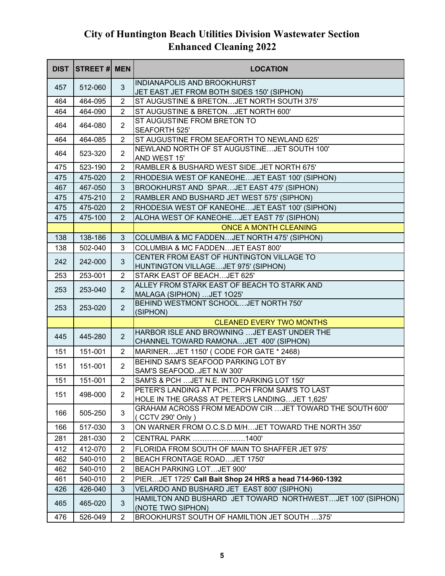| <b>DIST</b> | <b>STREET# MEN</b> |                | <b>LOCATION</b>                                                                         |
|-------------|--------------------|----------------|-----------------------------------------------------------------------------------------|
| 457         | 512-060            | $\mathfrak{S}$ | INDIANAPOLIS AND BROOKHURST                                                             |
| 464         | 464-095            | $\overline{2}$ | JET EAST JET FROM BOTH SIDES 150' (SIPHON)<br>ST AUGUSTINE & BRETONJET NORTH SOUTH 375' |
| 464         | 464-090            | $\overline{2}$ | ST AUGUSTINE & BRETONJET NORTH 600'                                                     |
|             |                    |                | ST AUGUSTINE FROM BRETON TO                                                             |
| 464         | 464-080            | $\overline{2}$ | <b>SEAFORTH 525'</b>                                                                    |
| 464         | 464-085            | $\overline{2}$ | ST AUGUSTINE FROM SEAFORTH TO NEWLAND 625'                                              |
| 464         | 523-320            | $\overline{2}$ | NEWLAND NORTH OF ST AUGUSTINEJET SOUTH 100'<br>AND WEST 15'                             |
| 475         | 523-190            | $\overline{2}$ | RAMBLER & BUSHARD WEST SIDEJET NORTH 675'                                               |
| 475         | 475-020            | 2              | RHODESIA WEST OF KANEOHEJET EAST 100' (SIPHON)                                          |
| 467         | 467-050            | 3              | BROOKHURST AND SPARJET EAST 475' (SIPHON)                                               |
| 475         | 475-210            | $\overline{2}$ | RAMBLER AND BUSHARD JET WEST 575' (SIPHON)                                              |
| 475         | 475-020            | 2              | RHODESIA WEST OF KANEOHEJET EAST 100' (SIPHON)                                          |
| 475         | 475-100            | 2              | ALOHA WEST OF KANEOHEJET EAST 75' (SIPHON)                                              |
|             |                    |                | <b>ONCE A MONTH CLEANING</b>                                                            |
| 138         | 138-186            | $\mathbf{3}$   | COLUMBIA & MC FADDENJET NORTH 475' (SIPHON)                                             |
| 138         | 502-040            | 3              | <b>COLUMBIA &amp; MC FADDENJET EAST 800'</b>                                            |
| 242         | 242-000            | $\mathfrak{S}$ | CENTER FROM EAST OF HUNTINGTON VILLAGE TO<br>HUNTINGTON VILLAGEJET 975' (SIPHON)        |
| 253         | 253-001            | $\overline{2}$ | STARK EAST OF BEACHJET 625'                                                             |
| 253         | 253-040            | $\overline{2}$ | ALLEY FROM STARK EAST OF BEACH TO STARK AND                                             |
|             |                    |                | MALAGA (SIPHON)  JET 1025'<br>BEHIND WESTMONT SCHOOLJET NORTH 750'                      |
| 253         | 253-020            | $\overline{2}$ | (SIPHON)                                                                                |
|             |                    |                | <b>CLEANED EVERY TWO MONTHS</b>                                                         |
| 445         | 445-280            | 2 <sup>1</sup> | HARBOR ISLE AND BROWNING  JET EAST UNDER THE<br>CHANNEL TOWARD RAMONAJET 400' (SIPHON)  |
| 151         | 151-001            | $\overline{2}$ | MARINERJET 1150' (CODE FOR GATE * 2468)                                                 |
| 151         | 151-001            | $\overline{2}$ | BEHIND SAM'S SEAFOOD PARKING LOT BY<br>SAM'S SEAFOODJET N.W 300'                        |
| 151         | 151-001            | $\overline{2}$ | SAM'S & PCH  JET N.E. INTO PARKING LOT 150'                                             |
| 151         | 498-000            | $\overline{2}$ | PETER'S LANDING AT PCHPCH FROM SAM'S TO LAST                                            |
|             |                    |                | HOLE IN THE GRASS AT PETER'S LANDINGJET 1,625'                                          |
| 166         | 505-250            | 3              | GRAHAM ACROSS FROM MEADOW CIR  JET TOWARD THE SOUTH 600'<br>(CCTV 290' Only)            |
| 166         | 517-030            | 3              | ON WARNER FROM O.C.S.D M/HJET TOWARD THE NORTH 350'                                     |
| 281         | 281-030            | $\overline{c}$ | CENTRAL PARK 1400'                                                                      |
| 412         | 412-070            | 2              | FLORIDA FROM SOUTH OF MAIN TO SHAFFER JET 975'                                          |
| 462         | 540-010            | $\overline{c}$ | <b>BEACH FRONTAGE ROADJET 1750'</b>                                                     |
| 462         | 540-010            | $\overline{2}$ | <b>BEACH PARKING LOTJET 900'</b>                                                        |
| 461         | 540-010            | $\overline{c}$ | PIERJET 1725' Call Bait Shop 24 HRS a head 714-960-1392                                 |
| 426         | 426-040            | 3              | VELARDO AND BUSHARD JET EAST 800' (SIPHON)                                              |
| 465         | 465-020            | 3              | HAMILTON AND BUSHARD JET TOWARD NORTHWESTJET 100' (SIPHON)<br>(NOTE TWO SIPHON)         |
| 476         | 526-049            | $\overline{2}$ | BROOKHURST SOUTH OF HAMILTION JET SOUTH 375'                                            |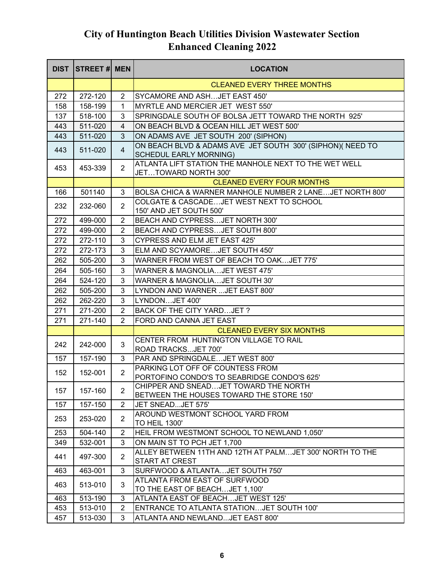|     | <b>DIST STREET# MEN</b> |                | <b>LOCATION</b>                                                                             |
|-----|-------------------------|----------------|---------------------------------------------------------------------------------------------|
|     |                         |                | <b>CLEANED EVERY THREE MONTHS</b>                                                           |
| 272 | 272-120                 | $\overline{2}$ | SYCAMORE AND ASHJET EAST 450'                                                               |
| 158 | 158-199                 | $\mathbf{1}$   | MYRTLE AND MERCIER JET WEST 550'                                                            |
| 137 | 518-100                 | 3              | SPRINGDALE SOUTH OF BOLSA JETT TOWARD THE NORTH 925'                                        |
| 443 | 511-020                 | 4              | ON BEACH BLVD & OCEAN HILL JET WEST 500'                                                    |
| 443 | 511-020                 | 3              | ON ADAMS AVE JET SOUTH 200' (SIPHON)                                                        |
| 443 | 511-020                 | $\overline{4}$ | ON BEACH BLVD & ADAMS AVE JET SOUTH 300' (SIPHON)( NEED TO<br><b>SCHEDUL EARLY MORNING)</b> |
| 453 | 453-339                 | $\overline{2}$ | ATLANTA LIFT STATION THE MANHOLE NEXT TO THE WET WELL<br>JETTOWARD NORTH 300'               |
|     |                         |                | <b>CLEANED EVERY FOUR MONTHS</b>                                                            |
| 166 | 501140                  | 3              | BOLSA CHICA & WARNER MANHOLE NUMBER 2 LANEJET NORTH 800'                                    |
| 232 | 232-060                 | $\overline{2}$ | COLGATE & CASCADE JET WEST NEXT TO SCHOOL<br>150' AND JET SOUTH 500'                        |
| 272 | 499-000                 | $\overline{2}$ | BEACH AND CYPRESSJET NORTH 300'                                                             |
| 272 | 499-000                 | $\overline{2}$ | BEACH AND CYPRESS JET SOUTH 800'                                                            |
| 272 | 272-110                 | 3              | CYPRESS AND ELM JET EAST 425'                                                               |
| 272 | 272-173                 | 3              | ELM AND SCYAMOREJET SOUTH 450'                                                              |
| 262 | 505-200                 | 3              | WARNER FROM WEST OF BEACH TO OAKJET 775'                                                    |
| 264 | 505-160                 | 3              | WARNER & MAGNOLIAJET WEST 475'                                                              |
| 264 | 524-120                 | 3              | WARNER & MAGNOLIAJET SOUTH 30'                                                              |
| 262 | 505-200                 | 3              | LYNDON AND WARNER  JET EAST 800'                                                            |
| 262 | 262-220                 | 3              | LYNDONJET 400'                                                                              |
| 271 | 271-200                 | $\overline{2}$ | BACK OF THE CITY YARDJET?                                                                   |
| 271 | 271-140                 | $\overline{2}$ | FORD AND CANNA JET EAST                                                                     |
|     |                         |                | <b>CLEANED EVERY SIX MONTHS</b>                                                             |
| 242 | 242-000                 | 3              | CENTER FROM HUNTINGTON VILLAGE TO RAIL<br>ROAD TRACKSJET 700'                               |
| 157 | 157-190                 | 3              | PAR AND SPRINGDALEJET WEST 800'                                                             |
| 152 | 152-001                 | $\overline{2}$ | PARKING LOT OFF OF COUNTESS FROM                                                            |
|     |                         |                | PORTOFINO CONDO'S TO SEABRIDGE CONDO'S 625'                                                 |
| 157 | 157-160                 | $\overline{2}$ | CHIPPER AND SNEADJET TOWARD THE NORTH                                                       |
|     |                         |                | BETWEEN THE HOUSES TOWARD THE STORE 150'                                                    |
| 157 | 157-150                 | $\overline{2}$ | JET SNEADJET 575'                                                                           |
| 253 | 253-020                 | $\overline{2}$ | AROUND WESTMONT SCHOOL YARD FROM<br>TO HEIL 1300'                                           |
| 253 | 504-140                 | $\overline{2}$ | HEIL FROM WESTMONT SCHOOL TO NEWLAND 1,050'                                                 |
| 349 | 532-001                 | 3              | ON MAIN ST TO PCH JET 1,700                                                                 |
| 441 | 497-300                 | $\overline{2}$ | ALLEY BETWEEN 11TH AND 12TH AT PALMJET 300' NORTH TO THE<br><b>START AT CREST</b>           |
| 463 | 463-001                 | 3              | SURFWOOD & ATLANTAJET SOUTH 750'                                                            |
| 463 | 513-010                 | 3              | ATLANTA FROM EAST OF SURFWOOD<br>TO THE EAST OF BEACHJET 1,100'                             |
| 463 | 513-190                 | 3              | ATLANTA EAST OF BEACHJET WEST 125'                                                          |
| 453 | 513-010                 | $\overline{2}$ | ENTRANCE TO ATLANTA STATIONJET SOUTH 100'                                                   |
| 457 | 513-030                 | 3              | ATLANTA AND NEWLANDJET EAST 800'                                                            |